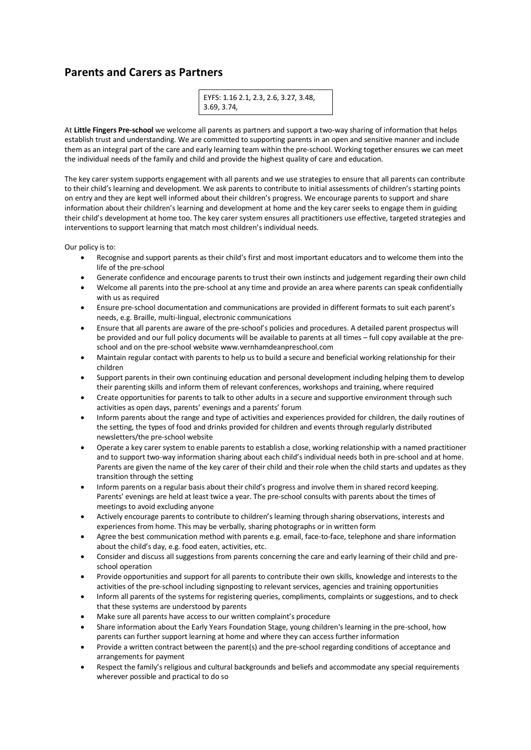## **Parents and Carers as Partners**

| EYFS: 1.16 2.1, 2.3, 2.6, 3.27, 3.48, |  |
|---------------------------------------|--|
| 3.69, 3.74,                           |  |

At **Little Fingers Pre-school** we welcome all parents as partners and support a two-way sharing of information that helps establish trust and understanding. We are committed to supporting parents in an open and sensitive manner and include them as an integral part of the care and early learning team within the pre-school. Working together ensures we can meet the individual needs of the family and child and provide the highest quality of care and education.

The key carer system supports engagement with all parents and we use strategies to ensure that all parents can contribute to their child's learning and development. We ask parents to contribute to initial assessments of children's starting points on entry and they are kept well informed about their children's progress. We encourage parents to support and share information about their children's learning and development at home and the key carer seeks to engage them in guiding their child's development at home too. The key carer system ensures all practitioners use effective, targeted strategies and interventions to support learning that match most children's individual needs.

Our policy is to:

- Recognise and support parents as their child's first and most important educators and to welcome them into the life of the pre-school
- Generate confidence and encourage parents to trust their own instincts and judgement regarding their own child
- Welcome all parents into the pre-school at any time and provide an area where parents can speak confidentially with us as required
- Ensure pre-school documentation and communications are provided in different formats to suit each parent's needs, e.g. Braille, multi-lingual, electronic communications
- Ensure that all parents are aware of the pre-school's policies and procedures. A detailed parent prospectus will be provided and our full policy documents will be available to parents at all times – full copy available at the preschool and on the pre-school website www.vernhamdeanpreschool.com
- Maintain regular contact with parents to help us to build a secure and beneficial working relationship for their children
- Support parents in their own continuing education and personal development including helping them to develop their parenting skills and inform them of relevant conferences, workshops and training, where required
- Create opportunities for parents to talk to other adults in a secure and supportive environment through such activities as open days, parents' evenings and a parents' forum
- Inform parents about the range and type of activities and experiences provided for children, the daily routines of the setting, the types of food and drinks provided for children and events through regularly distributed newsletters/the pre-school website
- Operate a key carer system to enable parents to establish a close, working relationship with a named practitioner and to support two-way information sharing about each child's individual needs both in pre-school and at home. Parents are given the name of the key carer of their child and their role when the child starts and updates as they transition through the setting
- Inform parents on a regular basis about their child's progress and involve them in shared record keeping. Parents' evenings are held at least twice a year. The pre-school consults with parents about the times of meetings to avoid excluding anyone
- Actively encourage parents to contribute to children's learning through sharing observations, interests and experiences from home. This may be verbally, sharing photographs or in written form
- Agree the best communication method with parents e.g. email, face-to-face, telephone and share information about the child's day, e.g. food eaten, activities, etc.
- Consider and discuss all suggestions from parents concerning the care and early learning of their child and preschool operation
- Provide opportunities and support for all parents to contribute their own skills, knowledge and interests to the activities of the pre-school including signposting to relevant services, agencies and training opportunities
- Inform all parents of the systems for registering queries, compliments, complaints or suggestions, and to check that these systems are understood by parents
- Make sure all parents have access to our written complaint's procedure
- Share information about the Early Years Foundation Stage, young children's learning in the pre-school, how parents can further support learning at home and where they can access further information
- Provide a written contract between the parent(s) and the pre-school regarding conditions of acceptance and arrangements for payment
- Respect the family's religious and cultural backgrounds and beliefs and accommodate any special requirements wherever possible and practical to do so